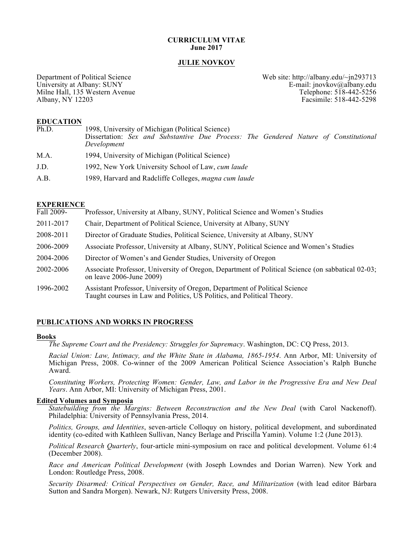#### **CURRICULUM VITAE June 2017**

#### **JULIE NOVKOV**

Milne Hall, 135 Western Avenue<br>Albany, NY 12203

Department of Political Science<br>University at Albany: SUNY<br>E-mail: jnovkov@albany.edu E-mail: jnovkov@albany.edu<br>Telephone: 518-442-5256 Facsimile: 518-442-5298

#### **EDUCATION**

| Ph.D. | 1998, University of Michigan (Political Science)                                                    |
|-------|-----------------------------------------------------------------------------------------------------|
|       | Dissertation: Sex and Substantive Due Process: The Gendered Nature of Constitutional<br>Development |
| M.A.  | 1994, University of Michigan (Political Science)                                                    |
| J.D.  | 1992, New York University School of Law, cum laude                                                  |
| A.B.  | 1989, Harvard and Radcliffe Colleges, magna cum laude                                               |

#### **EXPERIENCE**

| Fall 2009- | Professor, University at Albany, SUNY, Political Science and Women's Studies                                                                         |
|------------|------------------------------------------------------------------------------------------------------------------------------------------------------|
| 2011-2017  | Chair, Department of Political Science, University at Albany, SUNY                                                                                   |
| 2008-2011  | Director of Graduate Studies, Political Science, University at Albany, SUNY                                                                          |
| 2006-2009  | Associate Professor, University at Albany, SUNY, Political Science and Women's Studies                                                               |
| 2004-2006  | Director of Women's and Gender Studies, University of Oregon                                                                                         |
| 2002-2006  | Associate Professor, University of Oregon, Department of Political Science (on sabbatical 02-03;<br>on leave 2006-June 2009)                         |
| 1996-2002  | Assistant Professor, University of Oregon, Department of Political Science<br>Taught courses in Law and Politics, US Politics, and Political Theory. |

#### **PUBLICATIONS AND WORKS IN PROGRESS**

#### **Books**

*The Supreme Court and the Presidency: Struggles for Supremacy*. Washington, DC: CQ Press, 2013.

*Racial Union: Law, Intimacy, and the White State in Alabama, 1865-1954*. Ann Arbor, MI: University of Michigan Press, 2008. Co-winner of the 2009 American Political Science Association's Ralph Bunche Award.

*Constituting Workers, Protecting Women: Gender, Law, and Labor in the Progressive Era and New Deal Years*. Ann Arbor, MI: University of Michigan Press, 2001.

#### **Edited Volumes and Symposia**

*Statebuilding from the Margins: Between Reconstruction and the New Deal* (with Carol Nackenoff). Philadelphia: University of Pennsylvania Press, 2014.

*Politics, Groups, and Identities*, seven-article Colloquy on history, political development, and subordinated identity (co-edited with Kathleen Sullivan, Nancy Berlage and Priscilla Yamin). Volume 1:2 (June 2013).

*Political Research Quarterly*, four-article mini-symposium on race and political development. Volume 61:4 (December 2008).

*Race and American Political Development* (with Joseph Lowndes and Dorian Warren). New York and London: Routledge Press, 2008.

*Security Disarmed: Critical Perspectives on Gender, Race, and Militarization* (with lead editor Bárbara Sutton and Sandra Morgen). Newark, NJ: Rutgers University Press, 2008.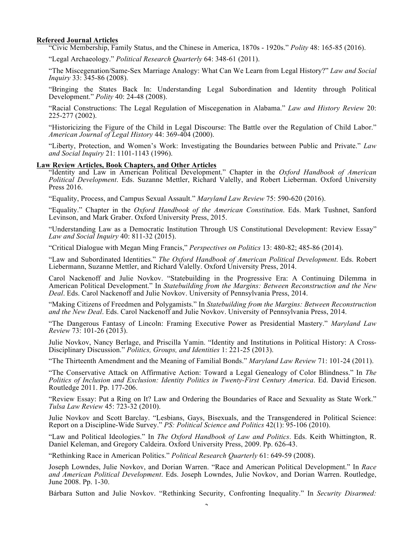#### **Refereed Journal Articles**

"Civic Membership, Family Status, and the Chinese in America, 1870s - 1920s." *Polity* 48: 165-85 (2016).

"Legal Archaeology." *Political Research Quarterly* 64: 348-61 (2011).

"The Miscegenation/Same-Sex Marriage Analogy: What Can We Learn from Legal History?" *Law and Social Inquiry* 33: 345-86 (2008).

"Bringing the States Back In: Understanding Legal Subordination and Identity through Political Development." *Polity* 40: 24-48 (2008).

"Racial Constructions: The Legal Regulation of Miscegenation in Alabama." *Law and History Review* 20: 225-277 (2002).

"Historicizing the Figure of the Child in Legal Discourse: The Battle over the Regulation of Child Labor." *American Journal of Legal History* 44: 369-404 (2000).

"Liberty, Protection, and Women's Work: Investigating the Boundaries between Public and Private." *Law and Social Inquiry* 21: 1101-1143 (1996).

#### **Law Review Articles, Book Chapters, and Other Articles**

"Identity and Law in American Political Development." Chapter in the *Oxford Handbook of American Political Development*. Eds. Suzanne Mettler, Richard Valelly, and Robert Lieberman. Oxford University Press 2016.

"Equality, Process, and Campus Sexual Assault." *Maryland Law Review* 75: 590-620 (2016).

"Equality." Chapter in the *Oxford Handbook of the American Constitution*. Eds. Mark Tushnet, Sanford Levinson, and Mark Graber. Oxford University Press, 2015.

"Understanding Law as a Democratic Institution Through US Constitutional Development: Review Essay" *Law and Social Inquiry* 40: 811-32 (2015).

"Critical Dialogue with Megan Ming Francis," *Perspectives on Politics* 13: 480-82; 485-86 (2014).

"Law and Subordinated Identities." *The Oxford Handbook of American Political Development*. Eds. Robert Liebermann, Suzanne Mettler, and Richard Valelly. Oxford University Press, 2014.

Carol Nackenoff and Julie Novkov. "Statebuilding in the Progressive Era: A Continuing Dilemma in American Political Development." In *Statebuilding from the Margins: Between Reconstruction and the New Deal*. Eds. Carol Nackenoff and Julie Novkov. University of Pennsylvania Press, 2014.

"Making Citizens of Freedmen and Polygamists." In *Statebuilding from the Margins: Between Reconstruction and the New Deal*. Eds. Carol Nackenoff and Julie Novkov. University of Pennsylvania Press, 2014.

"The Dangerous Fantasy of Lincoln: Framing Executive Power as Presidential Mastery." *Maryland Law Review* 73: 101-26 (2013).

Julie Novkov, Nancy Berlage, and Priscilla Yamin. "Identity and Institutions in Political History: A Cross-Disciplinary Discussion." *Politics, Groups, and Identities* 1: 221-25 (2013).

"The Thirteenth Amendment and the Meaning of Familial Bonds." *Maryland Law Review* 71: 101-24 (2011).

"The Conservative Attack on Affirmative Action: Toward a Legal Genealogy of Color Blindness." In *The Politics of Inclusion and Exclusion: Identity Politics in Twenty-First Century America*. Ed. David Ericson. Routledge 2011. Pp. 177-206.

"Review Essay: Put a Ring on It? Law and Ordering the Boundaries of Race and Sexuality as State Work." *Tulsa Law Review* 45: 723-32 (2010).

Julie Novkov and Scott Barclay. "Lesbians, Gays, Bisexuals, and the Transgendered in Political Science: Report on a Discipline-Wide Survey." *PS: Political Science and Politics* 42(1): 95-106 (2010).

"Law and Political Ideologies." In *The Oxford Handbook of Law and Politics*. Eds. Keith Whittington, R. Daniel Keleman, and Gregory Caldeira. Oxford University Press, 2009. Pp. 626-43.

"Rethinking Race in American Politics." *Political Research Quarterly* 61: 649-59 (2008).

Joseph Lowndes, Julie Novkov, and Dorian Warren. "Race and American Political Development." In *Race and American Political Development*. Eds. Joseph Lowndes, Julie Novkov, and Dorian Warren. Routledge, June 2008. Pp. 1-30.

Bárbara Sutton and Julie Novkov. "Rethinking Security, Confronting Inequality." In *Security Disarmed:*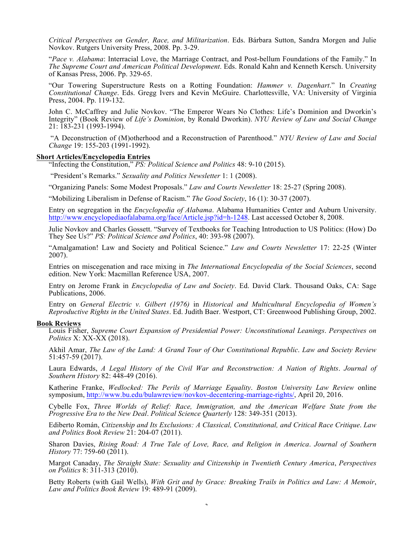*Critical Perspectives on Gender, Race, and Militarization*. Eds. Bárbara Sutton, Sandra Morgen and Julie Novkov. Rutgers University Press, 2008. Pp. 3-29.

"*Pace v. Alabama*: Interracial Love, the Marriage Contract, and Post-bellum Foundations of the Family." In *The Supreme Court and American Political Development*. Eds. Ronald Kahn and Kenneth Kersch. University of Kansas Press, 2006. Pp. 329-65.

"Our Towering Superstructure Rests on a Rotting Foundation: *Hammer v. Dagenhart*." In *Creating Constitutional Change*. Eds. Gregg Ivers and Kevin McGuire. Charlottesville, VA: University of Virginia Press, 2004. Pp. 119-132.

John C. McCaffrey and Julie Novkov. "The Emperor Wears No Clothes: Life's Dominion and Dworkin's Integrity" (Book Review of *Life's Dominion*, by Ronald Dworkin). *NYU Review of Law and Social Change* 21: 183-231 (1993-1994).

"A Deconstruction of (M)otherhood and a Reconstruction of Parenthood." *NYU Review of Law and Social Change* 19: 155-203 (1991-1992).

#### **Short Articles/Encyclopedia Entries**

"Infecting the Constitution," *PS: Political Science and Politics* 48: 9-10 (2015).

"President's Remarks." *Sexuality and Politics Newsletter* 1: 1 (2008).

"Organizing Panels: Some Modest Proposals." *Law and Courts Newsletter* 18: 25-27 (Spring 2008).

"Mobilizing Liberalism in Defense of Racism." *The Good Society*, 16 (1): 30-37 (2007).

Entry on segregation in the *Encyclopedia of Alabama*. Alabama Humanities Center and Auburn University. http://www.encyclopediaofalabama.org/face/Article.jsp?id=h-1248. Last accessed October 8, 2008.

Julie Novkov and Charles Gossett. "Survey of Textbooks for Teaching Introduction to US Politics: (How) Do They See Us?" *PS: Political Science and Politics*, 40: 393-98 (2007).

"Amalgamation! Law and Society and Political Science." *Law and Courts Newsletter* 17: 22-25 (Winter 2007).

Entries on miscegenation and race mixing in *The International Encyclopedia of the Social Sciences*, second edition. New York: Macmillan Reference USA, 2007.

Entry on Jerome Frank in *Encyclopedia of Law and Society*. Ed. David Clark. Thousand Oaks, CA: Sage Publications, 2006.

Entry on *General Electric v. Gilbert (1976)* in *Historical and Multicultural Encyclopedia of Women's Reproductive Rights in the United States*. Ed. Judith Baer. Westport, CT: Greenwood Publishing Group, 2002.

#### **Book Reviews**

Louis Fisher, *Supreme Court Expansion of Presidential Power: Unconstitutional Leanings*. *Perspectives on Politics* X: XX-XX (2018).

Akhil Amar, *The Law of the Land: A Grand Tour of Our Constitutional Republic*. *Law and Society Review*  51:457-59 (2017).

Laura Edwards, *A Legal History of the Civil War and Reconstruction: A Nation of Rights*. *Journal of Southern History* 82: 448-49 (2016).

Katherine Franke, *Wedlocked: The Perils of Marriage Equality*. *Boston University Law Review* online symposium, http://www.bu.edu/bulawreview/novkov-decentering-marriage-rights/, April 20, 2016.

Cybelle Fox, *Three Worlds of Relief: Race, Immigration, and the American Welfare State from the Progressive Era to the New Deal*. *Political Science Quarterly* 128: 349-351 (2013).

Ediberto Román, *Citizenship and Its Exclusions: A Classical, Constitutional, and Critical Race Critique*. *Law and Politics Book Review* 21: 204-07 (2011).

Sharon Davies, *Rising Road: A True Tale of Love, Race, and Religion in America*. *Journal of Southern History* 77: 759-60 (2011).

Margot Canaday, *The Straight State: Sexuality and Citizenship in Twentieth Century America*, *Perspectives on Politics* 8: 311-313 (2010).

Betty Roberts (with Gail Wells), *With Grit and by Grace: Breaking Trails in Politics and Law: A Memoir*, *Law and Politics Book Review* 19: 489-91 (2009).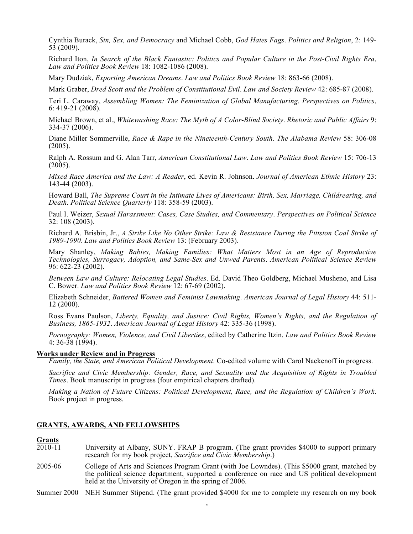Cynthia Burack, *Sin, Sex, and Democracy* and Michael Cobb, *God Hates Fags*. *Politics and Religion*, 2: 149- 53 (2009).

Richard Iton, *In Search of the Black Fantastic: Politics and Popular Culture in the Post-Civil Rights Era*, *Law and Politics Book Review* 18: 1082-1086 (2008).

Mary Dudziak, *Exporting American Dreams*. *Law and Politics Book Review* 18: 863-66 (2008).

Mark Graber, *Dred Scott and the Problem of Constitutional Evil*. *Law and Society Review* 42: 685-87 (2008).

Teri L. Caraway, *Assembling Women: The Feminization of Global Manufacturing*. *Perspectives on Politics*, 6: 419-21 (2008).

Michael Brown, et al., *Whitewashing Race: The Myth of A Color-Blind Society*. *Rhetoric and Public Affairs* 9: 334-37 (2006).

Diane Miller Sommerville, *Race & Rape in the Nineteenth-Century South*. *The Alabama Review* 58: 306-08 (2005).

Ralph A. Rossum and G. Alan Tarr, *American Constitutional Law*. *Law and Politics Book Review* 15: 706-13  $(2005)$ .

*Mixed Race America and the Law: A Reader*, ed. Kevin R. Johnson. *Journal of American Ethnic History* 23: 143-44 (2003).

Howard Ball, *The Supreme Court in the Intimate Lives of Americans: Birth, Sex, Marriage, Childrearing, and Death*. *Political Science Quarterly* 118: 358-59 (2003).

Paul I. Weizer, *Sexual Harassment: Cases, Case Studies, and Commentary*. *Perspectives on Political Science* 32: 108 (2003).

Richard A. Brisbin, Jr., *A Strike Like No Other Strike: Law & Resistance During the Pittston Coal Strike of 1989-1990*. *Law and Politics Book Review* 13: (February 2003).

Mary Shanley, *Making Babies, Making Families: What Matters Most in an Age of Reproductive Technologies, Surrogacy, Adoption, and Same-Sex and Unwed Parents*. *American Political Science Review* 96: 622-23 (2002).

*Between Law and Culture: Relocating Legal Studies*. Ed. David Theo Goldberg, Michael Musheno, and Lisa C. Bower. *Law and Politics Book Review* 12: 67-69 (2002).

Elizabeth Schneider, *Battered Women and Feminist Lawmaking*. *American Journal of Legal History* 44: 511- 12 (2000).

Ross Evans Paulson, *Liberty, Equality, and Justice: Civil Rights, Women's Rights, and the Regulation of Business, 1865-1932*. *American Journal of Legal History* 42: 335-36 (1998).

*Pornography: Women, Violence, and Civil Liberties*, edited by Catherine Itzin. *Law and Politics Book Review*  $4: 36-38(1994)$ .

#### **Works under Review and in Progress**

*Family, the State, and American Political Development*. Co-edited volume with Carol Nackenoff in progress.

*Sacrifice and Civic Membership: Gender, Race, and Sexuality and the Acquisition of Rights in Troubled Times*. Book manuscript in progress (four empirical chapters drafted).

*Making a Nation of Future Citizens: Political Development, Race, and the Regulation of Children's Work*. Book project in progress.

#### **GRANTS, AWARDS, AND FELLOWSHIPS**

#### **Grants**

- 2010-11 University at Albany, SUNY. FRAP B program. (The grant provides \$4000 to support primary research for my book project, *Sacrifice and Civic Membership*.)
- 2005-06 College of Arts and Sciences Program Grant (with Joe Lowndes). (This \$5000 grant, matched by the political science department, supported a conference on race and US political development held at the University of Oregon in the spring of 2006.
- 4 Summer 2000 NEH Summer Stipend. (The grant provided \$4000 for me to complete my research on my book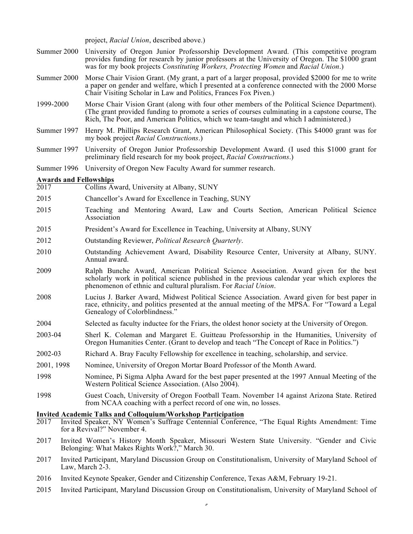project, *Racial Union*, described above.)

- Summer 2000 University of Oregon Junior Professorship Development Award. (This competitive program provides funding for research by junior professors at the University of Oregon. The \$1000 grant was for my book projects *Constituting Workers, Protecting Women* and *Racial Union*.)
- Summer 2000 Morse Chair Vision Grant. (My grant, a part of a larger proposal, provided \$2000 for me to write a paper on gender and welfare, which I presented at a conference connected with the 2000 Morse Chair Visiting Scholar in Law and Politics, Frances Fox Piven.)
- 1999-2000 Morse Chair Vision Grant (along with four other members of the Political Science Department). (The grant provided funding to promote a series of courses culminating in a capstone course, The Rich, The Poor, and American Politics, which we team-taught and which I administered.)
- Summer 1997 Henry M. Phillips Research Grant, American Philosophical Society. (This \$4000 grant was for my book project *Racial Constructions*.)
- Summer 1997 University of Oregon Junior Professorship Development Award. (I used this \$1000 grant for preliminary field research for my book project, *Racial Constructions*.)
- Summer 1996 University of Oregon New Faculty Award for summer research.

# **<u>Awards and Fellowships</u>**<br>2017 Collins Ay

- Collins Award, University at Albany, SUNY
- 2015 Chancellor's Award for Excellence in Teaching, SUNY
- 2015 Teaching and Mentoring Award, Law and Courts Section, American Political Science Association
- 2015 President's Award for Excellence in Teaching, University at Albany, SUNY
- 2012 Outstanding Reviewer, *Political Research Quarterly*.
- 2010 Outstanding Achievement Award, Disability Resource Center, University at Albany, SUNY. Annual award.
- 2009 Ralph Bunche Award, American Political Science Association. Award given for the best scholarly work in political science published in the previous calendar year which explores the phenomenon of ethnic and cultural pluralism. For *Racial Union*.
- 2008 Lucius J. Barker Award, Midwest Political Science Association. Award given for best paper in race, ethnicity, and politics presented at the annual meeting of the MPSA. For "Toward a Legal Genealogy of Colorblindness."
- 2004 Selected as faculty inductee for the Friars, the oldest honor society at the University of Oregon.
- 2003-04 Sherl K. Coleman and Margaret E. Guitteau Professorship in the Humanities, University of Oregon Humanities Center. (Grant to develop and teach "The Concept of Race in Politics.")
- 2002-03 Richard A. Bray Faculty Fellowship for excellence in teaching, scholarship, and service.
- 2001, 1998 Nominee, University of Oregon Mortar Board Professor of the Month Award.
- 1998 Nominee, Pi Sigma Alpha Award for the best paper presented at the 1997 Annual Meeting of the Western Political Science Association. (Also 2004).
- 1998 Guest Coach, University of Oregon Football Team. November 14 against Arizona State. Retired from NCAA coaching with a perfect record of one win, no losses.

# **Invited Academic Talks and Colloquium/Workshop Participation**

- 2017 Invited Speaker, NY Women's Suffrage Centennial Conference, "The Equal Rights Amendment: Time for a Revival?" November 4.
- 2017 Invited Women's History Month Speaker, Missouri Western State University. "Gender and Civic Belonging: What Makes Rights Work?," March 30.
- 2017 Invited Participant, Maryland Discussion Group on Constitutionalism, University of Maryland School of Law, March 2-3.
- 2016 Invited Keynote Speaker, Gender and Citizenship Conference, Texas A&M, February 19-21.
- 2015 Invited Participant, Maryland Discussion Group on Constitutionalism, University of Maryland School of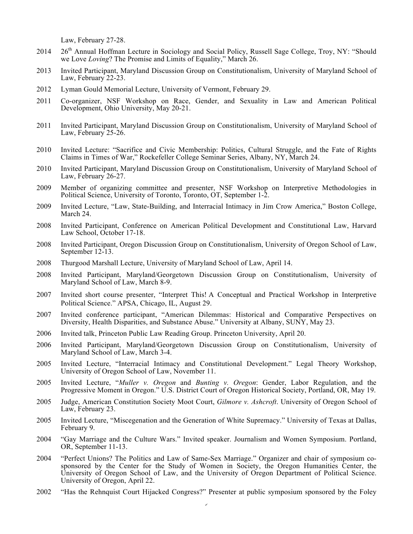Law, February 27-28.

- $2014$   $26<sup>th</sup>$  Annual Hoffman Lecture in Sociology and Social Policy, Russell Sage College, Troy, NY: "Should" we Love *Loving*? The Promise and Limits of Equality," March 26.
- 2013 Invited Participant, Maryland Discussion Group on Constitutionalism, University of Maryland School of Law, February 22-23.
- 2012 Lyman Gould Memorial Lecture, University of Vermont, February 29.
- 2011 Co-organizer, NSF Workshop on Race, Gender, and Sexuality in Law and American Political Development, Ohio University, May 20-21.
- 2011 Invited Participant, Maryland Discussion Group on Constitutionalism, University of Maryland School of Law, February 25-26.
- 2010 Invited Lecture: "Sacrifice and Civic Membership: Politics, Cultural Struggle, and the Fate of Rights Claims in Times of War," Rockefeller College Seminar Series, Albany, NY, March 24.
- 2010 Invited Participant, Maryland Discussion Group on Constitutionalism, University of Maryland School of Law, February 26-27.
- 2009 Member of organizing committee and presenter, NSF Workshop on Interpretive Methodologies in Political Science, University of Toronto, Toronto, OT, September 1-2.
- 2009 Invited Lecture, "Law, State-Building, and Interracial Intimacy in Jim Crow America," Boston College, March 24.
- 2008 Invited Participant, Conference on American Political Development and Constitutional Law, Harvard Law School, October 17-18.
- <sup>2008</sup> Invited Participant, Oregon Discussion Group on Constitutionalism, University of Oregon School of Law, September 12-13.
- 2008 Thurgood Marshall Lecture, University of Maryland School of Law, April 14.
- 2008 Invited Participant, Maryland/Georgetown Discussion Group on Constitutionalism, University of Maryland School of Law, March 8-9.
- 2007 Invited short course presenter, "Interpret This! A Conceptual and Practical Workshop in Interpretive Political Science." APSA, Chicago, IL, August 29.
- 2007 Invited conference participant, "American Dilemmas: Historical and Comparative Perspectives on Diversity, Health Disparities, and Substance Abuse." University at Albany, SUNY, May 23.
- 2006 Invited talk, Princeton Public Law Reading Group. Princeton University, April 20.
- 2006 Invited Participant, Maryland/Georgetown Discussion Group on Constitutionalism, University of Maryland School of Law, March 3-4.
- 2005 Invited Lecture, "Interracial Intimacy and Constitutional Development." Legal Theory Workshop, University of Oregon School of Law, November 11.
- 2005 Invited Lecture, "*Muller v. Oregon* and *Bunting v. Oregon*: Gender, Labor Regulation, and the Progressive Moment in Oregon." U.S. District Court of Oregon Historical Society, Portland, OR, May 19.
- 2005 Judge, American Constitution Society Moot Court, *Gilmore v. Ashcroft*. University of Oregon School of Law, February 23.
- 2005 Invited Lecture, "Miscegenation and the Generation of White Supremacy." University of Texas at Dallas, February 9.
- 2004 "Gay Marriage and the Culture Wars." Invited speaker. Journalism and Women Symposium. Portland, OR, September 11-13.
- 2004 "Perfect Unions? The Politics and Law of Same-Sex Marriage." Organizer and chair of symposium cosponsored by the Center for the Study of Women in Society, the Oregon Humanities Center, the University of Oregon School of Law, and the University of Oregon Department of Political Science. University of Oregon, April 22.
- 2002 "Has the Rehnquist Court Hijacked Congress?" Presenter at public symposium sponsored by the Foley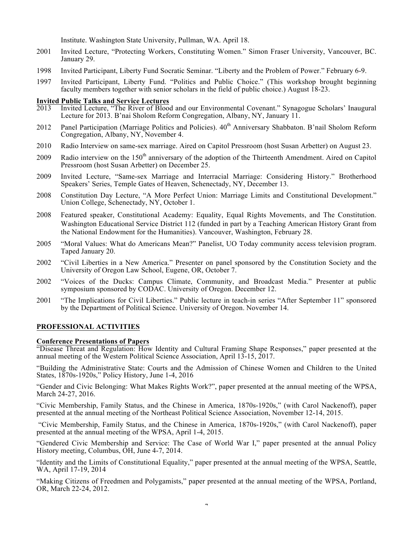Institute. Washington State University, Pullman, WA. April 18.

- 2001 Invited Lecture, "Protecting Workers, Constituting Women." Simon Fraser University, Vancouver, BC. January 29.
- 1998 Invited Participant, Liberty Fund Socratic Seminar. "Liberty and the Problem of Power." February 6-9.
- 1997 Invited Participant, Liberty Fund. "Politics and Public Choice." (This workshop brought beginning faculty members together with senior scholars in the field of public choice.) August 18-23.

# **Invited Public Talks and Service Lectures**

- 2013 Invited Lecture, "The River of Blood and our Environmental Covenant." Synagogue Scholars' Inaugural Lecture for 2013. B'nai Sholom Reform Congregation, Albany, NY, January 11.
- 2012 Panel Participation (Marriage Politics and Policies). 40<sup>th</sup> Anniversary Shabbaton. B'nail Sholom Reform Congregation, Albany, NY, November 4.
- 2010 Radio Interview on same-sex marriage. Aired on Capitol Pressroom (host Susan Arbetter) on August 23.
- 2009 Radio interview on the 150<sup>th</sup> anniversary of the adoption of the Thirteenth Amendment. Aired on Capitol Pressroom (host Susan Arbetter) on December 25.
- 2009 Invited Lecture, "Same-sex Marriage and Interracial Marriage: Considering History." Brotherhood Speakers' Series, Temple Gates of Heaven, Schenectady, NY, December 13.
- 2008 Constitution Day Lecture, "A More Perfect Union: Marriage Limits and Constitutional Development." Union College, Schenectady, NY, October 1.
- 2008 Featured speaker, Constitutional Academy: Equality, Equal Rights Movements, and The Constitution. Washington Educational Service District 112 (funded in part by a Teaching American History Grant from the National Endowment for the Humanities). Vancouver, Washington, February 28.
- 2005 "Moral Values: What do Americans Mean?" Panelist, UO Today community access television program. Taped January 20.
- 2002 "Civil Liberties in a New America." Presenter on panel sponsored by the Constitution Society and the University of Oregon Law School, Eugene, OR, October 7.
- 2002 "Voices of the Ducks: Campus Climate, Community, and Broadcast Media." Presenter at public symposium sponsored by CODAC. University of Oregon. December 12.
- 2001 "The Implications for Civil Liberties." Public lecture in teach-in series "After September 11" sponsored by the Department of Political Science. University of Oregon. November 14.

## **PROFESSIONAL ACTIVITIES**

## **Conference Presentations of Papers**

"Disease Threat and Regulation: How Identity and Cultural Framing Shape Responses," paper presented at the annual meeting of the Western Political Science Association, April 13-15, 2017.

"Building the Administrative State: Courts and the Admission of Chinese Women and Children to the United States, 1870s-1920s," Policy History, June 1-4, 2016

"Gender and Civic Belonging: What Makes Rights Work?", paper presented at the annual meeting of the WPSA, March 24-27, 2016.

"Civic Membership, Family Status, and the Chinese in America, 1870s-1920s," (with Carol Nackenoff), paper presented at the annual meeting of the Northeast Political Science Association, November 12-14, 2015.

"Civic Membership, Family Status, and the Chinese in America, 1870s-1920s," (with Carol Nackenoff), paper presented at the annual meeting of the WPSA, April 1-4, 2015.

"Gendered Civic Membership and Service: The Case of World War I," paper presented at the annual Policy History meeting, Columbus, OH, June 4-7, 2014.

"Identity and the Limits of Constitutional Equality," paper presented at the annual meeting of the WPSA, Seattle, WA, April 17-19, 2014

"Making Citizens of Freedmen and Polygamists," paper presented at the annual meeting of the WPSA, Portland, OR, March 22-24, 2012.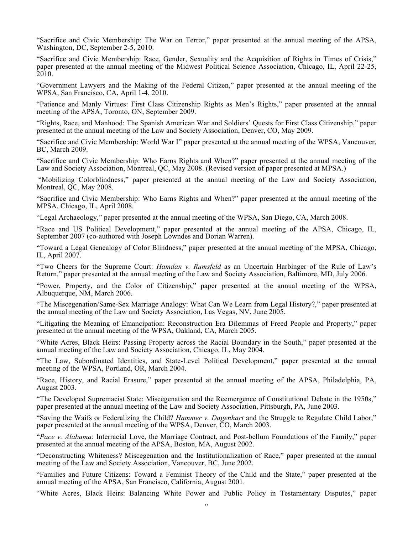"Sacrifice and Civic Membership: The War on Terror," paper presented at the annual meeting of the APSA, Washington, DC, September 2-5, 2010.

"Sacrifice and Civic Membership: Race, Gender, Sexuality and the Acquisition of Rights in Times of Crisis," paper presented at the annual meeting of the Midwest Political Science Association, Chicago, IL, April 22-25, 2010.

"Government Lawyers and the Making of the Federal Citizen," paper presented at the annual meeting of the WPSA, San Francisco, CA, April 1-4, 2010.

"Patience and Manly Virtues: First Class Citizenship Rights as Men's Rights," paper presented at the annual meeting of the APSA, Toronto, ON, September 2009.

"Rights, Race, and Manhood: The Spanish American War and Soldiers' Quests for First Class Citizenship," paper presented at the annual meeting of the Law and Society Association, Denver, CO, May 2009.

"Sacrifice and Civic Membership: World War I" paper presented at the annual meeting of the WPSA, Vancouver, BC, March 2009.

"Sacrifice and Civic Membership: Who Earns Rights and When?" paper presented at the annual meeting of the Law and Society Association, Montreal, QC, May 2008. (Revised version of paper presented at MPSA.)

"Mobilizing Colorblindness," paper presented at the annual meeting of the Law and Society Association, Montreal, QC, May 2008.

"Sacrifice and Civic Membership: Who Earns Rights and When?" paper presented at the annual meeting of the MPSA, Chicago, IL, April 2008.

"Legal Archaeology," paper presented at the annual meeting of the WPSA, San Diego, CA, March 2008.

"Race and US Political Development," paper presented at the annual meeting of the APSA, Chicago, IL, September 2007 (co-authored with Joseph Lowndes and Dorian Warren).

"Toward a Legal Genealogy of Color Blindness," paper presented at the annual meeting of the MPSA, Chicago, IL, April 2007.

"Two Cheers for the Supreme Court: *Hamdan v. Rumsfeld* as an Uncertain Harbinger of the Rule of Law's Return," paper presented at the annual meeting of the Law and Society Association, Baltimore, MD, July 2006.

"Power, Property, and the Color of Citizenship," paper presented at the annual meeting of the WPSA, Albuquerque, NM, March 2006.

"The Miscegenation/Same-Sex Marriage Analogy: What Can We Learn from Legal History?," paper presented at the annual meeting of the Law and Society Association, Las Vegas, NV, June 2005.

"Litigating the Meaning of Emancipation: Reconstruction Era Dilemmas of Freed People and Property," paper presented at the annual meeting of the WPSA, Oakland, CA, March 2005.

"White Acres, Black Heirs: Passing Property across the Racial Boundary in the South," paper presented at the annual meeting of the Law and Society Association, Chicago, IL, May 2004.

"The Law, Subordinated Identities, and State-Level Political Development," paper presented at the annual meeting of the WPSA, Portland, OR, March 2004.

"Race, History, and Racial Erasure," paper presented at the annual meeting of the APSA, Philadelphia, PA, August 2003.

"The Developed Supremacist State: Miscegenation and the Reemergence of Constitutional Debate in the 1950s," paper presented at the annual meeting of the Law and Society Association, Pittsburgh, PA, June 2003.

"Saving the Waifs or Federalizing the Child? *Hammer v. Dagenhart* and the Struggle to Regulate Child Labor," paper presented at the annual meeting of the WPSA, Denver, CO, March 2003.

"*Pace v. Alabama*: Interracial Love, the Marriage Contract, and Post-bellum Foundations of the Family," paper presented at the annual meeting of the APSA, Boston, MA, August 2002.

"Deconstructing Whiteness? Miscegenation and the Institutionalization of Race," paper presented at the annual meeting of the Law and Society Association, Vancouver, BC, June 2002.

"Families and Future Citizens: Toward a Feminist Theory of the Child and the State," paper presented at the annual meeting of the APSA, San Francisco, California, August 2001.

"White Acres, Black Heirs: Balancing White Power and Public Policy in Testamentary Disputes," paper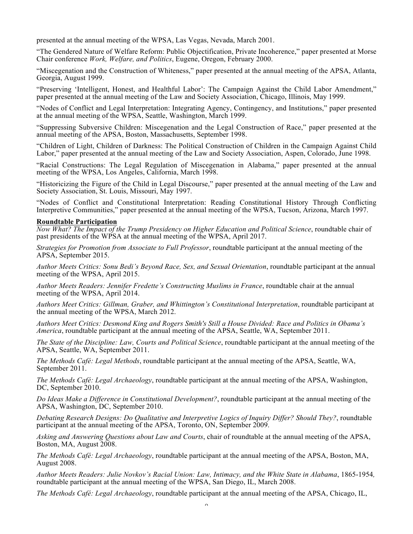presented at the annual meeting of the WPSA, Las Vegas, Nevada, March 2001.

"The Gendered Nature of Welfare Reform: Public Objectification, Private Incoherence," paper presented at Morse Chair conference *Work, Welfare, and Politics*, Eugene, Oregon, February 2000.

"Miscegenation and the Construction of Whiteness," paper presented at the annual meeting of the APSA, Atlanta, Georgia, August 1999.

"Preserving 'Intelligent, Honest, and Healthful Labor': The Campaign Against the Child Labor Amendment," paper presented at the annual meeting of the Law and Society Association, Chicago, Illinois, May 1999.

"Nodes of Conflict and Legal Interpretation: Integrating Agency, Contingency, and Institutions," paper presented at the annual meeting of the WPSA, Seattle, Washington, March 1999.

"Suppressing Subversive Children: Miscegenation and the Legal Construction of Race," paper presented at the annual meeting of the APSA, Boston, Massachusetts, September 1998.

"Children of Light, Children of Darkness: The Political Construction of Children in the Campaign Against Child Labor," paper presented at the annual meeting of the Law and Society Association, Aspen, Colorado, June 1998.

"Racial Constructions: The Legal Regulation of Miscegenation in Alabama," paper presented at the annual meeting of the WPSA, Los Angeles, California, March 1998.

"Historicizing the Figure of the Child in Legal Discourse," paper presented at the annual meeting of the Law and Society Association, St. Louis, Missouri, May 1997.

"Nodes of Conflict and Constitutional Interpretation: Reading Constitutional History Through Conflicting Interpretive Communities," paper presented at the annual meeting of the WPSA, Tucson, Arizona, March 1997.

#### **Roundtable Participation**

*Now What? The Impact of the Trump Presidency on Higher Education and Political Science*, roundtable chair of past presidents of the WPSA at the annual meeting of the WPSA, April 2017.

*Strategies for Promotion from Associate to Full Professor*, roundtable participant at the annual meeting of the APSA, September 2015.

*Author Meets Critics: Sonu Bedi's Beyond Race, Sex, and Sexual Orientation*, roundtable participant at the annual meeting of the WPSA, April 2015.

*Author Meets Readers: Jennifer Fredette's Constructing Muslims in France*, roundtable chair at the annual meeting of the WPSA, April 2014.

*Authors Meet Critics: Gillman, Graber, and Whittington's Constitutional Interpretation*, roundtable participant at the annual meeting of the WPSA, March 2012.

*Authors Meet Critics: Desmond King and Rogers Smith's Still a House Divided: Race and Politics in Obama's America*, roundtable participant at the annual meeting of the APSA, Seattle, WA, September 2011.

*The State of the Discipline: Law, Courts and Political Science*, roundtable participant at the annual meeting of the APSA, Seattle, WA, September 2011.

*The Methods Café: Legal Methods*, roundtable participant at the annual meeting of the APSA, Seattle, WA, September 2011.

*The Methods Café: Legal Archaeology*, roundtable participant at the annual meeting of the APSA, Washington, DC, September 2010.

*Do Ideas Make a Difference in Constitutional Development?*, roundtable participant at the annual meeting of the APSA, Washington, DC, September 2010.

*Debating Research Designs: Do Qualitative and Interpretive Logics of Inquiry Differ? Should They?*, roundtable participant at the annual meeting of the APSA, Toronto, ON, September 2009.

*Asking and Answering Questions about Law and Courts*, chair of roundtable at the annual meeting of the APSA, Boston, MA, August 2008.

*The Methods Café: Legal Archaeology*, roundtable participant at the annual meeting of the APSA, Boston, MA, August 2008.

*Author Meets Readers: Julie Novkov's Racial Union: Law, Intimacy, and the White State in Alabama*, 1865-1954*,*  roundtable participant at the annual meeting of the WPSA, San Diego, IL, March 2008.

*The Methods Café: Legal Archaeology*, roundtable participant at the annual meeting of the APSA, Chicago, IL,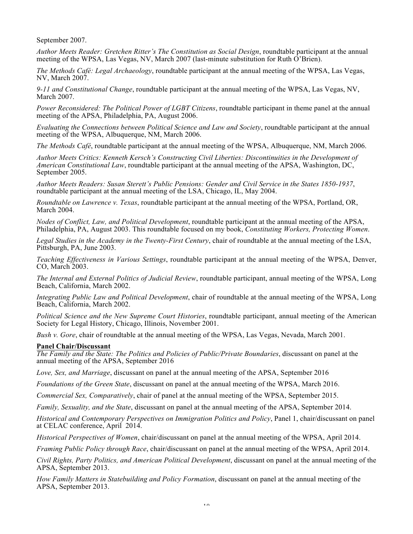September 2007.

*Author Meets Reader: Gretchen Ritter's The Constitution as Social Design*, roundtable participant at the annual meeting of the WPSA, Las Vegas, NV, March 2007 (last-minute substitution for Ruth O'Brien).

*The Methods Café: Legal Archaeology*, roundtable participant at the annual meeting of the WPSA, Las Vegas, NV, March 2007.

*9-11 and Constitutional Change*, roundtable participant at the annual meeting of the WPSA, Las Vegas, NV, March 2007.

*Power Reconsidered: The Political Power of LGBT Citizens*, roundtable participant in theme panel at the annual meeting of the APSA, Philadelphia, PA, August 2006.

*Evaluating the Connections between Political Science and Law and Society*, roundtable participant at the annual meeting of the WPSA, Albuquerque, NM, March 2006.

*The Methods Café*, roundtable participant at the annual meeting of the WPSA, Albuquerque, NM, March 2006.

*Author Meets Critics: Kenneth Kersch's Constructing Civil Liberties: Discontinuities in the Development of American Constitutional Law*, roundtable participant at the annual meeting of the APSA, Washington, DC, September 2005.

*Author Meets Readers: Susan Sterett's Public Pensions: Gender and Civil Service in the States 1850-1937*, roundtable participant at the annual meeting of the LSA, Chicago, IL, May 2004.

*Roundtable on Lawrence v. Texas*, roundtable participant at the annual meeting of the WPSA, Portland, OR, March 2004.

*Nodes of Conflict, Law, and Political Development*, roundtable participant at the annual meeting of the APSA, Philadelphia, PA, August 2003. This roundtable focused on my book, *Constituting Workers, Protecting Women*.

*Legal Studies in the Academy in the Twenty-First Century*, chair of roundtable at the annual meeting of the LSA, Pittsburgh, PA, June 2003.

*Teaching Effectiveness in Various Settings*, roundtable participant at the annual meeting of the WPSA, Denver, CO, March 2003.

*The Internal and External Politics of Judicial Review*, roundtable participant, annual meeting of the WPSA, Long Beach, California, March 2002.

*Integrating Public Law and Political Development*, chair of roundtable at the annual meeting of the WPSA, Long Beach, California, March 2002.

*Political Science and the New Supreme Court Histories*, roundtable participant, annual meeting of the American Society for Legal History, Chicago, Illinois, November 2001.

*Bush v. Gore*, chair of roundtable at the annual meeting of the WPSA, Las Vegas, Nevada, March 2001.

## **Panel Chair/Discussant**

*The Family and the State: The Politics and Policies of Public/Private Boundaries*, discussant on panel at the annual meeting of the APSA, September 2016

*Love, Sex, and Marriage*, discussant on panel at the annual meeting of the APSA, September 2016

*Foundations of the Green State*, discussant on panel at the annual meeting of the WPSA, March 2016.

*Commercial Sex, Comparatively*, chair of panel at the annual meeting of the WPSA, September 2015.

*Family, Sexuality, and the State*, discussant on panel at the annual meeting of the APSA, September 2014.

*Historical and Contemporary Perspectives on Immigration Politics and Policy*, Panel 1, chair/discussant on panel at CELAC conference, April 2014.

*Historical Perspectives of Women*, chair/discussant on panel at the annual meeting of the WPSA, April 2014.

*Framing Public Policy through Race*, chair/discussant on panel at the annual meeting of the WPSA, April 2014.

*Civil Rights, Party Politics, and American Political Development*, discussant on panel at the annual meeting of the APSA, September 2013.

*How Family Matters in Statebuilding and Policy Formation*, discussant on panel at the annual meeting of the APSA, September 2013.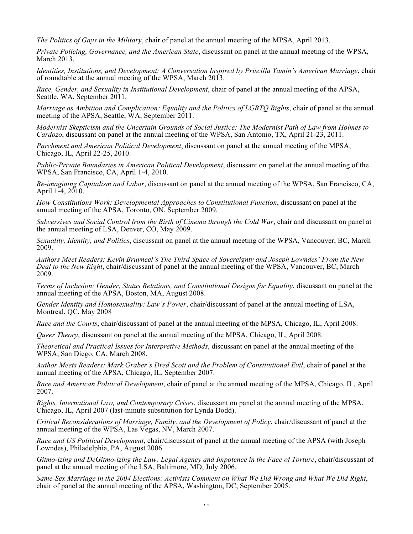*The Politics of Gays in the Military*, chair of panel at the annual meeting of the MPSA, April 2013.

*Private Policing, Governance, and the American State*, discussant on panel at the annual meeting of the WPSA, March 2013.

*Identities, Institutions, and Development: A Conversation Inspired by Priscilla Yamin's American Marriage*, chair of roundtable at the annual meeting of the WPSA, March 2013.

*Race, Gender, and Sexuality in Institutional Development*, chair of panel at the annual meeting of the APSA, Seattle, WA, September 2011.

*Marriage as Ambition and Complication: Equality and the Politics of LGBTQ Rights*, chair of panel at the annual meeting of the APSA, Seattle, WA, September 2011.

*Modernist Skepticism and the Uncertain Grounds of Social Justice: The Modernist Path of Law from Holmes to Cardozo*, discussant on panel at the annual meeting of the WPSA, San Antonio, TX, April 21-23, 2011.

*Parchment and American Political Development*, discussant on panel at the annual meeting of the MPSA, Chicago, IL, April 22-25, 2010.

*Public-Private Boundaries in American Political Development*, discussant on panel at the annual meeting of the WPSA, San Francisco, CA, April 1-4, 2010.

*Re-imagining Capitalism and Labor*, discussant on panel at the annual meeting of the WPSA, San Francisco, CA, April 1-4, 2010.

*How Constitutions Work: Developmental Approaches to Constitutional Function*, discussant on panel at the annual meeting of the APSA, Toronto, ON, September 2009.

*Subversives and Social Control from the Birth of Cinema through the Cold War*, chair and discussant on panel at the annual meeting of LSA, Denver, CO, May 2009.

*Sexuality, Identity, and Politics*, discussant on panel at the annual meeting of the WPSA, Vancouver, BC, March 2009.

*Authors Meet Readers: Kevin Bruyneel's The Third Space of Sovereignty and Joseph Lowndes' From the New Deal to the New Right*, chair/discussant of panel at the annual meeting of the WPSA, Vancouver, BC, March 2009.

*Terms of Inclusion: Gender, Status Relations, and Constitutional Designs for Equality*, discussant on panel at the annual meeting of the APSA, Boston, MA, August 2008.

*Gender Identity and Homosexuality: Law's Power*, chair/discussant of panel at the annual meeting of LSA, Montreal, QC, May 2008

*Race and the Courts*, chair/discussant of panel at the annual meeting of the MPSA, Chicago, IL, April 2008.

*Queer Theory*, discussant on panel at the annual meeting of the MPSA, Chicago, IL, April 2008.

*Theoretical and Practical Issues for Interpretive Methods*, discussant on panel at the annual meeting of the WPSA, San Diego, CA, March 2008.

*Author Meets Readers: Mark Graber's Dred Scott and the Problem of Constitutional Evil*, chair of panel at the annual meeting of the APSA, Chicago, IL, September 2007.

*Race and American Political Development*, chair of panel at the annual meeting of the MPSA, Chicago, IL, April 2007.

*Rights, International Law, and Contemporary Crises*, discussant on panel at the annual meeting of the MPSA, Chicago, IL, April 2007 (last-minute substitution for Lynda Dodd).

*Critical Reconsiderations of Marriage, Family, and the Development of Policy*, chair/discussant of panel at the annual meeting of the WPSA, Las Vegas, NV, March 2007.

*Race and US Political Development*, chair/discussant of panel at the annual meeting of the APSA (with Joseph Lowndes), Philadelphia, PA, August 2006.

*Gitmo-izing and DeGitmo-izing the Law: Legal Agency and Impotence in the Face of Torture*, chair/discussant of panel at the annual meeting of the LSA, Baltimore, MD, July 2006.

*Same-Sex Marriage in the 2004 Elections: Activists Comment on What We Did Wrong and What We Did Right*, chair of panel at the annual meeting of the APSA, Washington, DC, September 2005.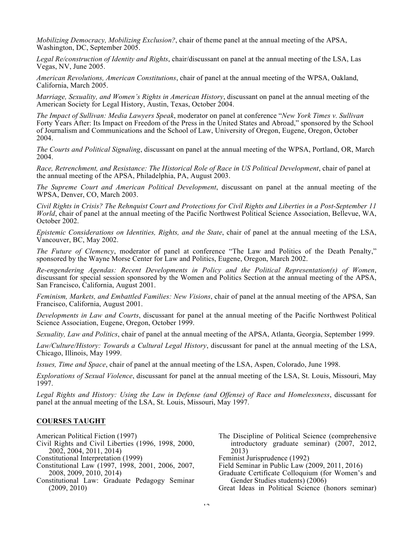*Mobilizing Democracy, Mobilizing Exclusion?*, chair of theme panel at the annual meeting of the APSA, Washington, DC, September 2005.

*Legal Re/construction of Identity and Rights*, chair/discussant on panel at the annual meeting of the LSA, Las Vegas, NV, June 2005.

*American Revolutions, American Constitutions*, chair of panel at the annual meeting of the WPSA, Oakland, California, March 2005.

*Marriage, Sexuality, and Women's Rights in American History*, discussant on panel at the annual meeting of the American Society for Legal History, Austin, Texas, October 2004.

*The Impact of Sullivan: Media Lawyers Speak*, moderator on panel at conference "*New York Times v. Sullivan* Forty Years After: Its Impact on Freedom of the Press in the United States and Abroad," sponsored by the School of Journalism and Communications and the School of Law, University of Oregon, Eugene, Oregon, October 2004.

*The Courts and Political Signaling*, discussant on panel at the annual meeting of the WPSA, Portland, OR, March 2004.

*Race, Retrenchment, and Resistance: The Historical Role of Race in US Political Development*, chair of panel at the annual meeting of the APSA, Philadelphia, PA, August 2003.

*The Supreme Court and American Political Development*, discussant on panel at the annual meeting of the WPSA, Denver, CO, March 2003.

*Civil Rights in Crisis? The Rehnquist Court and Protections for Civil Rights and Liberties in a Post-September 11 World*, chair of panel at the annual meeting of the Pacific Northwest Political Science Association, Bellevue, WA, October 2002.

*Epistemic Considerations on Identities, Rights, and the State*, chair of panel at the annual meeting of the LSA, Vancouver, BC, May 2002.

*The Future of Clemency*, moderator of panel at conference "The Law and Politics of the Death Penalty," sponsored by the Wayne Morse Center for Law and Politics, Eugene, Oregon, March 2002.

*Re-engendering Agendas: Recent Developments in Policy and the Political Representation(s) of Women*, discussant for special session sponsored by the Women and Politics Section at the annual meeting of the APSA, San Francisco, California, August 2001.

*Feminism, Markets, and Embattled Families: New Visions*, chair of panel at the annual meeting of the APSA, San Francisco, California, August 2001.

*Developments in Law and Courts*, discussant for panel at the annual meeting of the Pacific Northwest Political Science Association, Eugene, Oregon, October 1999.

*Sexuality, Law and Politics*, chair of panel at the annual meeting of the APSA, Atlanta, Georgia, September 1999.

*Law/Culture/History: Towards a Cultural Legal History*, discussant for panel at the annual meeting of the LSA, Chicago, Illinois, May 1999.

*Issues, Time and Space*, chair of panel at the annual meeting of the LSA, Aspen, Colorado, June 1998.

*Explorations of Sexual Violence*, discussant for panel at the annual meeting of the LSA, St. Louis, Missouri, May 1997.

*Legal Rights and History: Using the Law in Defense (and Offense) of Race and Homelessness*, discussant for panel at the annual meeting of the LSA, St. Louis, Missouri, May 1997.

## **COURSES TAUGHT**

American Political Fiction (1997)

- Civil Rights and Civil Liberties (1996, 1998, 2000, 2002, 2004, 2011, 2014)
- Constitutional Interpretation (1999)
- Constitutional Law (1997, 1998, 2001, 2006, 2007, 2008, 2009, 2010, 2014)
- Constitutional Law: Graduate Pedagogy Seminar (2009, 2010)
- The Discipline of Political Science (comprehensive introductory graduate seminar) (2007, 2012, 2013)
- Feminist Jurisprudence (1992)
- Field Seminar in Public Law (2009, 2011, 2016)
- Graduate Certificate Colloquium (for Women's and Gender Studies students) (2006)

Great Ideas in Political Science (honors seminar)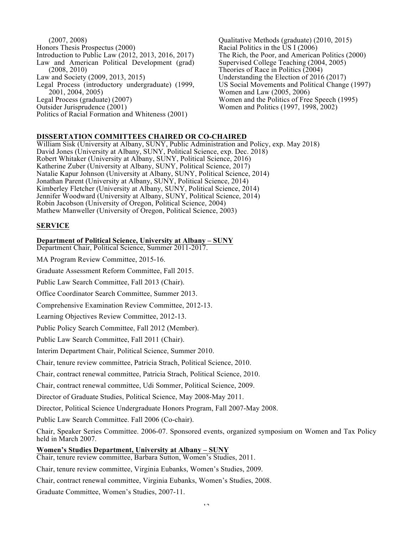(2007, 2008) Honors Thesis Prospectus (2000) Introduction to Public Law (2012, 2013, 2016, 2017) Law and American Political Development (grad) (2008, 2010) Law and Society (2009, 2013, 2015) Legal Process (introductory undergraduate) (1999, 2001, 2004, 2005) Legal Process (graduate) (2007) Outsider Jurisprudence (2001) Politics of Racial Formation and Whiteness (2001)

Qualitative Methods (graduate) (2010, 2015) Racial Politics in the US I (2006) The Rich, the Poor, and American Politics (2000) Supervised College Teaching (2004, 2005) Theories of Race in Politics (2004) Understanding the Election of 2016 (2017) US Social Movements and Political Change (1997) Women and Law (2005, 2006) Women and the Politics of Free Speech (1995) Women and Politics (1997, 1998, 2002)

## **DISSERTATION COMMITTEES CHAIRED OR CO-CHAIRED**

William Sisk (University at Albany, SUNY, Public Administration and Policy, exp. May 2018) David Jones (University at Albany, SUNY, Political Science, exp. Dec. 2018) Robert Whitaker (University at Albany, SUNY, Political Science, 2016) Katherine Zuber (University at Albany, SUNY, Political Science, 2017) Natalie Kapur Johnson (University at Albany, SUNY, Political Science, 2014) Jonathan Parent (University at Albany, SUNY, Political Science, 2014) Kimberley Fletcher (University at Albany, SUNY, Political Science, 2014) Jennifer Woodward (University at Albany, SUNY, Political Science, 2014) Robin Jacobson (University of Oregon, Political Science, 2004) Mathew Manweller (University of Oregon, Political Science, 2003)

#### **SERVICE**

#### **Department of Political Science, University at Albany – SUNY**

Department Chair, Political Science, Summer 2011-2017.

MA Program Review Committee, 2015-16.

Graduate Assessment Reform Committee, Fall 2015.

Public Law Search Committee, Fall 2013 (Chair).

Office Coordinator Search Committee, Summer 2013.

Comprehensive Examination Review Committee, 2012-13.

Learning Objectives Review Committee, 2012-13.

Public Policy Search Committee, Fall 2012 (Member).

Public Law Search Committee, Fall 2011 (Chair).

Interim Department Chair, Political Science, Summer 2010.

Chair, tenure review committee, Patricia Strach, Political Science, 2010.

Chair, contract renewal committee, Patricia Strach, Political Science, 2010.

Chair, contract renewal committee, Udi Sommer, Political Science, 2009.

Director of Graduate Studies, Political Science, May 2008-May 2011.

Director, Political Science Undergraduate Honors Program, Fall 2007-May 2008.

Public Law Search Committee. Fall 2006 (Co-chair).

Chair, Speaker Series Committee. 2006-07. Sponsored events, organized symposium on Women and Tax Policy held in March 2007.

#### **Women's Studies Department, University at Albany – SUNY**

Chair, tenure review committee, Barbara Sutton, Women's Studies, 2011.

Chair, tenure review committee, Virginia Eubanks, Women's Studies, 2009.

Chair, contract renewal committee, Virginia Eubanks, Women's Studies, 2008.

Graduate Committee, Women's Studies, 2007-11.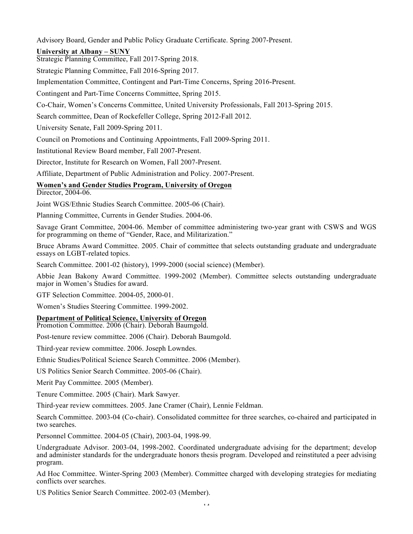Advisory Board, Gender and Public Policy Graduate Certificate. Spring 2007-Present.

# **University at Albany – SUNY**

Strategic Planning Committee, Fall 2017-Spring 2018.

Strategic Planning Committee, Fall 2016-Spring 2017.

Implementation Committee, Contingent and Part-Time Concerns, Spring 2016-Present.

Contingent and Part-Time Concerns Committee, Spring 2015.

Co-Chair, Women's Concerns Committee, United University Professionals, Fall 2013-Spring 2015.

Search committee, Dean of Rockefeller College, Spring 2012-Fall 2012.

University Senate, Fall 2009-Spring 2011.

Council on Promotions and Continuing Appointments, Fall 2009-Spring 2011.

Institutional Review Board member, Fall 2007-Present.

Director, Institute for Research on Women, Fall 2007-Present.

Affiliate, Department of Public Administration and Policy. 2007-Present.

# **Women's and Gender Studies Program, University of Oregon**

Director, 2004-06.

Joint WGS/Ethnic Studies Search Committee. 2005-06 (Chair).

Planning Committee, Currents in Gender Studies. 2004-06.

Savage Grant Committee, 2004-06. Member of committee administering two-year grant with CSWS and WGS for programming on theme of "Gender, Race, and Militarization."

Bruce Abrams Award Committee. 2005. Chair of committee that selects outstanding graduate and undergraduate essays on LGBT-related topics.

Search Committee. 2001-02 (history), 1999-2000 (social science) (Member).

Abbie Jean Bakony Award Committee. 1999-2002 (Member). Committee selects outstanding undergraduate major in Women's Studies for award.

GTF Selection Committee. 2004-05, 2000-01.

Women's Studies Steering Committee. 1999-2002.

## **Department of Political Science, University of Oregon**

Promotion Committee. 2006 (Chair). Deborah Baumgold.

Post-tenure review committee. 2006 (Chair). Deborah Baumgold.

Third-year review committee. 2006. Joseph Lowndes.

Ethnic Studies/Political Science Search Committee. 2006 (Member).

US Politics Senior Search Committee. 2005-06 (Chair).

Merit Pay Committee. 2005 (Member).

Tenure Committee. 2005 (Chair). Mark Sawyer.

Third-year review committees. 2005. Jane Cramer (Chair), Lennie Feldman.

Search Committee. 2003-04 (Co-chair). Consolidated committee for three searches, co-chaired and participated in two searches.

Personnel Committee. 2004-05 (Chair), 2003-04, 1998-99.

Undergraduate Advisor. 2003-04, 1998-2002. Coordinated undergraduate advising for the department; develop and administer standards for the undergraduate honors thesis program. Developed and reinstituted a peer advising program.

Ad Hoc Committee. Winter-Spring 2003 (Member). Committee charged with developing strategies for mediating conflicts over searches.

US Politics Senior Search Committee. 2002-03 (Member).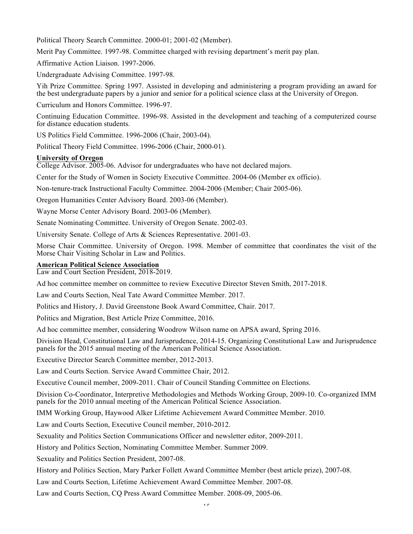Political Theory Search Committee. 2000-01; 2001-02 (Member).

Merit Pay Committee. 1997-98. Committee charged with revising department's merit pay plan.

Affirmative Action Liaison. 1997-2006.

Undergraduate Advising Committee. 1997-98.

Yih Prize Committee. Spring 1997. Assisted in developing and administering a program providing an award for the best undergraduate papers by a junior and senior for a political science class at the University of Oregon.

Curriculum and Honors Committee. 1996-97.

Continuing Education Committee. 1996-98. Assisted in the development and teaching of a computerized course for distance education students.

US Politics Field Committee. 1996-2006 (Chair, 2003-04).

Political Theory Field Committee. 1996-2006 (Chair, 2000-01).

## **University of Oregon**

College Advisor. 2005-06. Advisor for undergraduates who have not declared majors.

Center for the Study of Women in Society Executive Committee. 2004-06 (Member ex officio).

Non-tenure-track Instructional Faculty Committee. 2004-2006 (Member; Chair 2005-06).

Oregon Humanities Center Advisory Board. 2003-06 (Member).

Wayne Morse Center Advisory Board. 2003-06 (Member).

Senate Nominating Committee. University of Oregon Senate. 2002-03.

University Senate. College of Arts & Sciences Representative. 2001-03.

Morse Chair Committee. University of Oregon. 1998. Member of committee that coordinates the visit of the Morse Chair Visiting Scholar in Law and Politics.

## **American Political Science Association**

Law and Court Section President, 2018-2019.

Ad hoc committee member on committee to review Executive Director Steven Smith, 2017-2018.

Law and Courts Section, Neal Tate Award Committee Member. 2017.

Politics and History, J. David Greenstone Book Award Committee, Chair. 2017.

Politics and Migration, Best Article Prize Committee, 2016.

Ad hoc committee member, considering Woodrow Wilson name on APSA award, Spring 2016.

Division Head, Constitutional Law and Jurisprudence, 2014-15. Organizing Constitutional Law and Jurisprudence panels for the 2015 annual meeting of the American Political Science Association.

Executive Director Search Committee member, 2012-2013.

Law and Courts Section. Service Award Committee Chair, 2012.

Executive Council member, 2009-2011. Chair of Council Standing Committee on Elections.

Division Co-Coordinator, Interpretive Methodologies and Methods Working Group, 2009-10. Co-organized IMM panels for the 2010 annual meeting of the American Political Science Association.

IMM Working Group, Haywood Alker Lifetime Achievement Award Committee Member. 2010.

Law and Courts Section, Executive Council member, 2010-2012.

Sexuality and Politics Section Communications Officer and newsletter editor, 2009-2011.

History and Politics Section, Nominating Committee Member. Summer 2009.

Sexuality and Politics Section President, 2007-08.

History and Politics Section, Mary Parker Follett Award Committee Member (best article prize), 2007-08.

Law and Courts Section, Lifetime Achievement Award Committee Member. 2007-08.

Law and Courts Section, CQ Press Award Committee Member. 2008-09, 2005-06.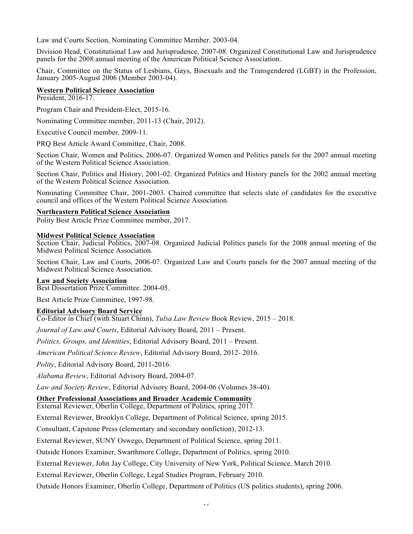Law and Courts Section, Nominating Committee Member. 2003-04.

Division Head, Constitutional Law and Jurisprudence, 2007-08. Organized Constitutional Law and Jurisprudence panels for the 2008 annual meeting of the American Political Science Association.

Chair, Committee on the Status of Lesbians, Gays, Bisexuals and the Transgendered (LGBT) in the Profession, January 2005-August 2006 (Member 2003-04).

## **Western Political Science Association**

President, 2016-17.

Program Chair and President-Elect, 2015-16.

Nominating Committee member, 2011-13 (Chair, 2012).

Executive Council member, 2009-11.

PRQ Best Article Award Committee, Chair, 2008.

Section Chair, Women and Politics, 2006-07. Organized Women and Politics panels for the 2007 annual meeting of the Western Political Science Association.

Section Chair, Politics and History, 2001-02. Organized Politics and History panels for the 2002 annual meeting of the Western Political Science Association.

Nominating Committee Chair, 2001-2003. Chaired committee that selects slate of candidates for the executive council and offices of the Western Political Science Association.

## **Northeastern Political Science Association**

Polity Best Article Prize Committee member, 2017.

## **Midwest Political Science Association**

Section Chair, Judicial Politics, 2007-08. Organized Judicial Politics panels for the 2008 annual meeting of the Midwest Political Science Association.

Section Chair, Law and Courts, 2006-07. Organized Law and Courts panels for the 2007 annual meeting of the Midwest Political Science Association.

## **Law and Society Association**

Best Dissertation Prize Committee. 2004-05.

Best Article Prize Committee, 1997-98.

## **Editorial Advisory Board Service**

Co-Editor in Chief (with Stuart Chinn), *Tulsa Law Review* Book Review, 2015 – 2018.

*Journal of Law and Courts*, Editorial Advisory Board, 2011 – Present.

*Politics, Groups, and Identities*, Editorial Advisory Board, 2011 – Present.

*American Political Science Review*, Editorial Advisory Board, 2012- 2016.

*Polity*, Editorial Advisory Board, 2011-2016.

*Alabama Review*, Editorial Advisory Board, 2004-07.

*Law and Society Review*, Editorial Advisory Board, 2004-06 (Volumes 38-40).

## **Other Professional Associations and Broader Academic Community**

External Reviewer, Oberlin College, Department of Politics, spring 2017.

External Reviewer, Brooklyn College, Department of Political Science, spring 2015.

Consultant, Capstone Press (elementary and secondary nonfiction), 2012-13.

External Reviewer, SUNY Oswego, Department of Political Science, spring 2011.

Outside Honors Examiner, Swarthmore College, Department of Politics, spring 2010.

External Reviewer, John Jay College, City University of New York, Political Science, March 2010.

External Reviewer, Oberlin College, Legal Studies Program, February 2010.

Outside Honors Examiner, Oberlin College, Department of Politics (US politics students), spring 2006.